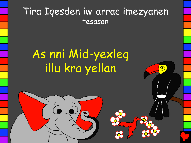## Tira Iqesden iw-arrac imezyanen tesasan

ෙ

## As nni Mid-yexleq illu kra yellan

 $\hat{c}$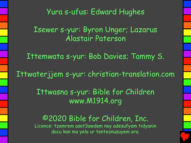Yura s-ufus: Edward Hughes

Isewer s-yur: Byron Unger; Lazarus Alastair Paterson

Ittemwata s-yur: Bob Davies; Tammy S.

Ittwaterjjem s-yur: christian-translation.com

Ittwasna s-yur: Bible for Children www.M1914.org

©2020 Bible for Children, Inc. Licence: tzemrem aset3awdem ney adesufyem tidyanin dacu kan ma yela ur tenteznuzuyem ara.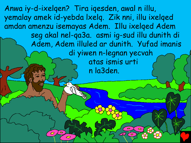Anwa iy-d-ixelqen? Tira iqesden, awal n illu, yemalay amek id-yebda lxelq. Zik nni, illu ixelqed amdan amenzu isemayas Adem. Illu ixelqed Adem seg akal nel-qa3a. asmi ig-sud illu dunith di Adem, Adem illuled ar dunith. Yufad imanis di yiwen n-legnan yecvah atas ismis urti n la3den.

 $\mathcal O$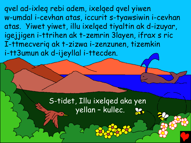qvel ad-ixleq rebi adem, ixelqed qvel yiwen w-umdal i-cevhan atas, iccurit s-tyawsiwin i-cevhan atas. Yiwet yiwet, illu ixelqed tiyaltin ak d-izuyar, igejjigen i-ttrihen ak t-zemrin 3layen, ifrax s ric I-ttmecveriq ak t-zizwa i-zenzunen, tizemkin i-tt3umun ak d-ijeyllal i-ttecden.

> S-tidet, Illu ixelqed aka yen yellan – kullec.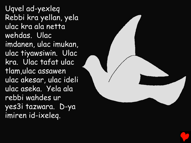Uqvel ad-yexleq Rebbi kra yellan, yela ulac kra ala netta wehdas. Ulac imdanen, ulac imukan, ulac tiyawsiwin. Ulac kra. Ulac tafat ulac tlam,ulac assawen ulac akesar, ulac ideli ulac aseka. Yela ala rebbi wahdes ur yes3i tazwara. D-ya imiren id-ixeleq.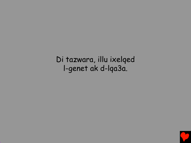Di tazwara, illu ixelqed l-genet ak d-lqa3a.

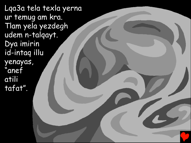Lqa3a tela texla yerna ur temug am kra. Tlam yela yezdegh udem n-talqayt. Dya imirin id-intaq illu yenayas, "anef atili tafat".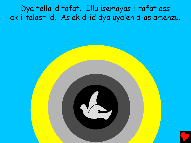Dya tella-d tafat. Illu isemayas i-tafat ass ak i-talast id. As ak d-id dya uyalen d-as amenzu.

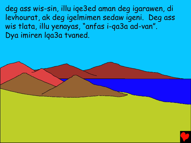deg ass wis-sin, illu iqe3ed aman deg igarawen, di levhourat, ak deg igelmimen sedaw igeni. Deg ass wis tlata, illu yenayas, "anfas i-qa3a ad-van". Dya imiren lqa3a tvaned.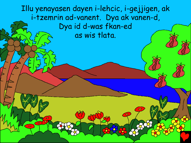Illu yenayasen dayen i-lehcic, i-gejjigen, ak i-tzemrin ad-vanent. Dya ak vanen-d, Dya id d-was fkan-ed as wis tlata.

۰

 $\bullet$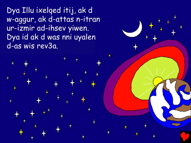Dya Illu ixelqed itij, ak d w-aggur, ak d-attas n-itran ur-izmir ad-ihsev yiwen. Dya id ak d was nni uyalen d-as wis rev3a.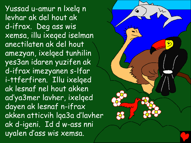Yussad u-amur n lxelq n levhar ak del hout ak d-ifrax. Deg ass wis xemsa, illu ixeqed iselman anectilaten ak del hout amezyan, ixelqed tunhilin yes3an idaren yuzifen ak d-ifrax imezyanen s-lfar i-ttferfiren. Illu ixelqed ak lesnaf nel hout akken ad'ya3mer lavher, ixelqed dayen ak lesnaf n-ifrax akken atticvih lqa3a d'lavher ak d-igeni. Id d w-ass nni uyalen d'ass wis xemsa.

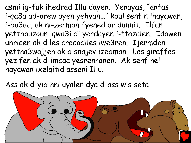asmi ig-fuk ihedrad Illu dayen. Yenayas, "anfas i-qa3a ad-arew ayen yehyan…" koul senf n lhayawan, i-ba3ac, ak ni-zerman fyened ar dunnit. Ilfan yetthouzoun lqwa3i di yerdayen i-ttazalen. Idawen uhricen ak d les crocodiles iwe3ren. Ijermden yettna3wajjen ak d snajev izedman. Les giraffes yezifen ak d-imcac yesrenronen. Ak senf nel hayawan ixelqitid asseni Illu.

Ass ak d-yid nni uyalen dya d-ass wis seta.

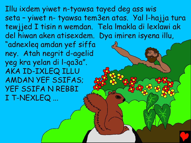Illu ixdem yiwet n-tyawsa tayed deg ass wis seta – yiwet n- tyawsa tem3en atas. Yal l-hajja tura tewjjed I tisin n wemdan. Tela lmakla di lexlawi ak del hiwan aken atisexdem. Dya imiren isyena illu, "adnexleq amdan yef siffa ney. Atah negrit d-agelid yeg kra yelan di l-qa3a". AKA ID-IXLEQ ILLU AMDAN YEF SSIFAS; YEF SSIFA N REBBI I T-NEXLEQ ...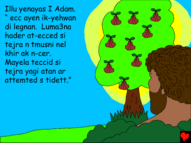Illu yenayas I Adam. " ecc ayen ik-yehwan di legnan. Luma3na hader at-ecced si tejra n tmusni nel khir ak n-cer. Mayela teccid si tejra yagi atan ar attemted s tidett."

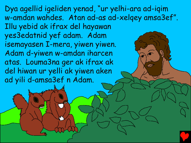Dya agellid igeliden yenad, "ur yelhi-ara ad-iqim w-amdan wahdes. Atan ad-as ad-xelqey amsa3ef". Illu yebid ak ifrax del hayawan yes3edatnid yef adam. Adam isemayasen I-mera, yiwen yiwen. Adam d-yiwen w-amdan iharcen atas. Louma3na ger ak ifrax ak del hiwan ur yelli ak yiwen aken ad yili d-amsa3ef n Adam.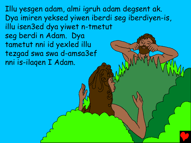Illu yesgen adam, almi igruh adam degsent ak. Dya imiren yeksed yiwen iberdi seg iberdiyen-is, illu isen3ed dya yiwet n-tmetut seg berdi n Adam. Dya tametut nni id yexled illu tezgad swa swa d-amsa3ef nni is-ilaqen I Adam.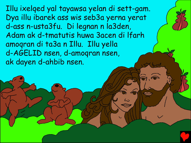Illu ixelqed yal tayawsa yelan di sett-gam. Dya illu ibarek ass wis seb3a yerna yerat d-ass n-usta3fu. Di legnan n la3den, Adam ak d-tmatutis huwa 3acen di lfarh amoqran di ta3a n Illu. Illu yella d-AGELID nsen, d-amoqran nsen, ak dayen d-ahbib nsen.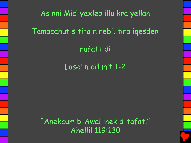As nni Mid-yexleq illu kra yellan Tamacahut s tira n rebi, tira iqesden nufatt di

Lasel n ddunit 1-2

"Anekcum b-Awal inek d-tafat." Ahellil 119:130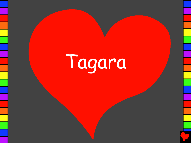## Tagara